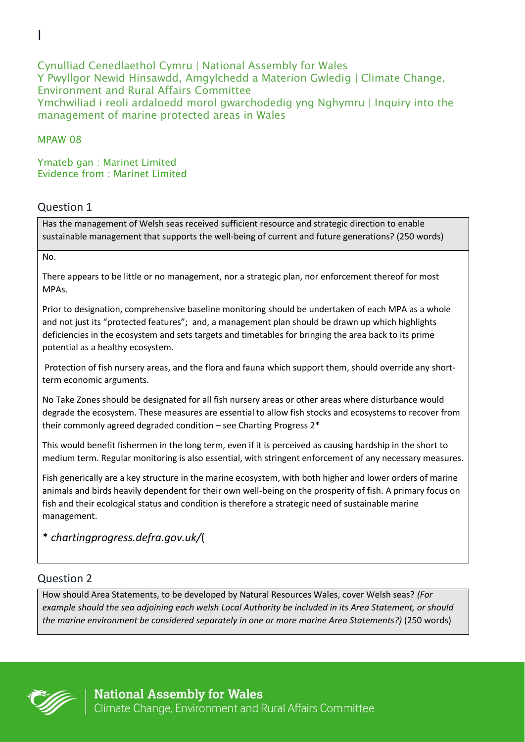Cynulliad Cenedlaethol Cymru | National Assembly for Wales Y Pwyllgor Newid Hinsawdd, Amgylchedd a Materion Gwledig | Climate Change, Environment and Rural Affairs Committee Ymchwiliad i reoli ardaloedd morol gwarchodedig yng Nghymru | Inquiry into the management of marine protected areas in Wales

### MPAW 08

I

Ymateb gan : Marinet Limited Evidence from : Marinet Limited

## Question 1

Has the management of Welsh seas received sufficient resource and strategic direction to enable sustainable management that supports the well-being of current and future generations? (250 words)

No.

There appears to be little or no management, nor a strategic plan, nor enforcement thereof for most MPAs.

Prior to designation, comprehensive baseline monitoring should be undertaken of each MPA as a whole and not just its "protected features"; and, a management plan should be drawn up which highlights deficiencies in the ecosystem and sets targets and timetables for bringing the area back to its prime potential as a healthy ecosystem.

Protection of fish nursery areas, and the flora and fauna which support them, should override any shortterm economic arguments.

No Take Zones should be designated for all fish nursery areas or other areas where disturbance would degrade the ecosystem. These measures are essential to allow fish stocks and ecosystems to recover from their commonly agreed degraded condition – see Charting Progress 2\*

This would benefit fishermen in the long term, even if it is perceived as causing hardship in the short to medium term. Regular monitoring is also essential, with stringent enforcement of any necessary measures.

Fish generically are a key structure in the marine ecosystem, with both higher and lower orders of marine animals and birds heavily dependent for their own well-being on the prosperity of fish. A primary focus on fish and their ecological status and condition is therefore a strategic need of sustainable marine management.

\* *chartingprogress.defra.gov.uk/*(

# Question 2

How should Area Statements, to be developed by Natural Resources Wales, cover Welsh seas? *(For example should the sea adjoining each welsh Local Authority be included in its Area Statement, or should the marine environment be considered separately in one or more marine Area Statements?)* (250 words)

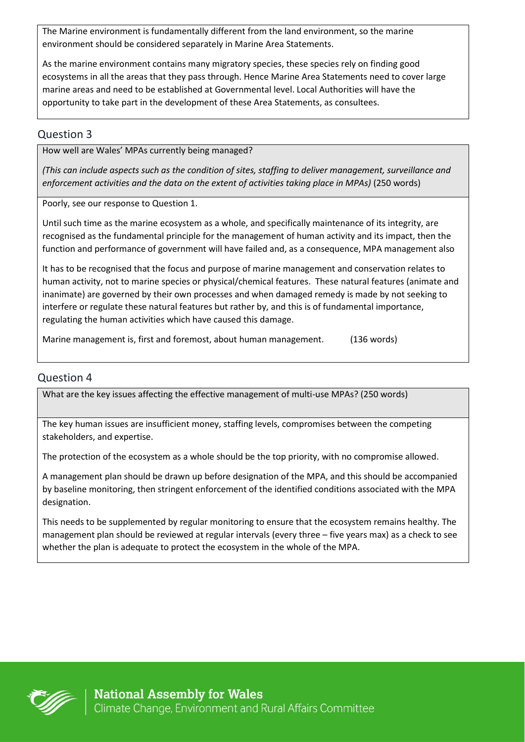The Marine environment is fundamentally different from the land environment, so the marine environment should be considered separately in Marine Area Statements.

As the marine environment contains many migratory species, these species rely on finding good ecosystems in all the areas that they pass through. Hence Marine Area Statements need to cover large marine areas and need to be established at Governmental level. Local Authorities will have the opportunity to take part in the development of these Area Statements, as consultees.

### Question 3

How well are Wales' MPAs currently being managed?

*(This can include aspects such as the condition of sites, staffing to deliver management, surveillance and*  enforcement activities and the data on the extent of activities taking place in MPAs) (250 words)

Poorly, see our response to Question 1.

Until such time as the marine ecosystem as a whole, and specifically maintenance of its integrity, are recognised as the fundamental principle for the management of human activity and its impact, then the function and performance of government will have failed and, as a consequence, MPA management also

It has to be recognised that the focus and purpose of marine management and conservation relates to human activity, not to marine species or physical/chemical features. These natural features (animate and inanimate) are governed by their own processes and when damaged remedy is made by not seeking to interfere or regulate these natural features but rather by, and this is of fundamental importance, regulating the human activities which have caused this damage.

Marine management is, first and foremost, about human management. (136 words)

### Question 4

What are the key issues affecting the effective management of multi-use MPAs? (250 words)

The key human issues are insufficient money, staffing levels, compromises between the competing stakeholders, and expertise.

The protection of the ecosystem as a whole should be the top priority, with no compromise allowed.

A management plan should be drawn up before designation of the MPA, and this should be accompanied by baseline monitoring, then stringent enforcement of the identified conditions associated with the MPA designation.

This needs to be supplemented by regular monitoring to ensure that the ecosystem remains healthy. The management plan should be reviewed at regular intervals (every three – five years max) as a check to see whether the plan is adequate to protect the ecosystem in the whole of the MPA.

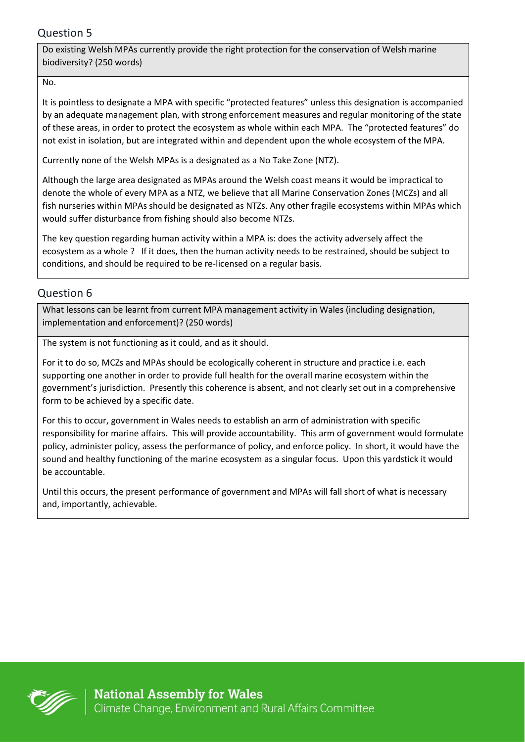## Question 5

Do existing Welsh MPAs currently provide the right protection for the conservation of Welsh marine biodiversity? (250 words)

#### No.

It is pointless to designate a MPA with specific "protected features" unless this designation is accompanied by an adequate management plan, with strong enforcement measures and regular monitoring of the state of these areas, in order to protect the ecosystem as whole within each MPA. The "protected features" do not exist in isolation, but are integrated within and dependent upon the whole ecosystem of the MPA.

Currently none of the Welsh MPAs is a designated as a No Take Zone (NTZ).

Although the large area designated as MPAs around the Welsh coast means it would be impractical to denote the whole of every MPA as a NTZ, we believe that all Marine Conservation Zones (MCZs) and all fish nurseries within MPAs should be designated as NTZs. Any other fragile ecosystems within MPAs which would suffer disturbance from fishing should also become NTZs.

The key question regarding human activity within a MPA is: does the activity adversely affect the ecosystem as a whole ? If it does, then the human activity needs to be restrained, should be subject to conditions, and should be required to be re-licensed on a regular basis.

## Question 6

What lessons can be learnt from current MPA management activity in Wales (including designation, implementation and enforcement)? (250 words)

The system is not functioning as it could, and as it should.

For it to do so, MCZs and MPAs should be ecologically coherent in structure and practice i.e. each supporting one another in order to provide full health for the overall marine ecosystem within the government's jurisdiction. Presently this coherence is absent, and not clearly set out in a comprehensive form to be achieved by a specific date.

For this to occur, government in Wales needs to establish an arm of administration with specific responsibility for marine affairs. This will provide accountability. This arm of government would formulate policy, administer policy, assess the performance of policy, and enforce policy. In short, it would have the sound and healthy functioning of the marine ecosystem as a singular focus. Upon this yardstick it would be accountable.

Until this occurs, the present performance of government and MPAs will fall short of what is necessary and, importantly, achievable.

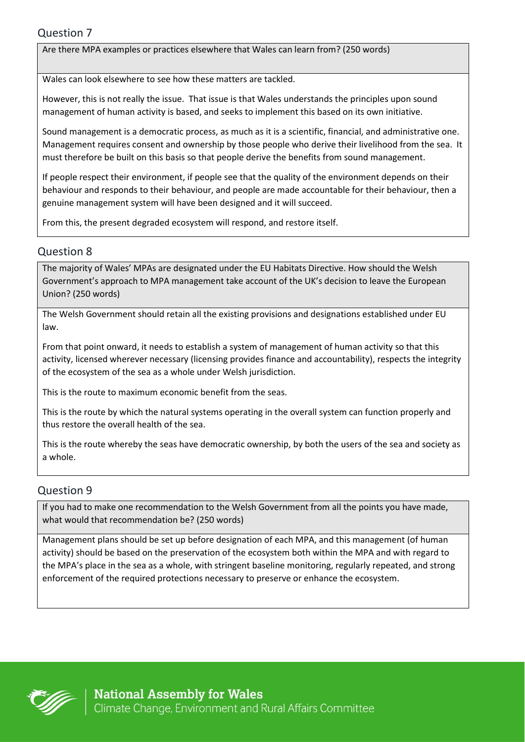Are there MPA examples or practices elsewhere that Wales can learn from? (250 words)

Wales can look elsewhere to see how these matters are tackled.

However, this is not really the issue. That issue is that Wales understands the principles upon sound management of human activity is based, and seeks to implement this based on its own initiative.

Sound management is a democratic process, as much as it is a scientific, financial, and administrative one. Management requires consent and ownership by those people who derive their livelihood from the sea. It must therefore be built on this basis so that people derive the benefits from sound management.

If people respect their environment, if people see that the quality of the environment depends on their behaviour and responds to their behaviour, and people are made accountable for their behaviour, then a genuine management system will have been designed and it will succeed.

From this, the present degraded ecosystem will respond, and restore itself.

### Question 8

The majority of Wales' MPAs are designated under the EU Habitats Directive. How should the Welsh Government's approach to MPA management take account of the UK's decision to leave the European Union? (250 words)

The Welsh Government should retain all the existing provisions and designations established under EU law.

From that point onward, it needs to establish a system of management of human activity so that this activity, licensed wherever necessary (licensing provides finance and accountability), respects the integrity of the ecosystem of the sea as a whole under Welsh jurisdiction.

This is the route to maximum economic benefit from the seas.

This is the route by which the natural systems operating in the overall system can function properly and thus restore the overall health of the sea.

This is the route whereby the seas have democratic ownership, by both the users of the sea and society as a whole.

## Question 9

If you had to make one recommendation to the Welsh Government from all the points you have made, what would that recommendation be? (250 words)

Management plans should be set up before designation of each MPA, and this management (of human activity) should be based on the preservation of the ecosystem both within the MPA and with regard to the MPA's place in the sea as a whole, with stringent baseline monitoring, regularly repeated, and strong enforcement of the required protections necessary to preserve or enhance the ecosystem.